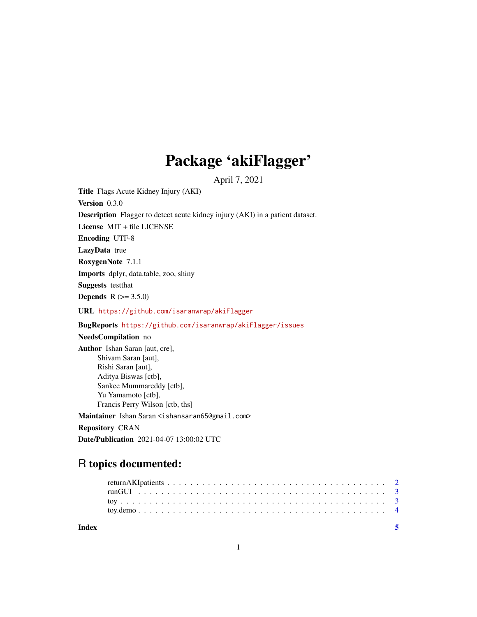## Package 'akiFlagger'

April 7, 2021

Title Flags Acute Kidney Injury (AKI)

Version 0.3.0

Description Flagger to detect acute kidney injury (AKI) in a patient dataset.

License MIT + file LICENSE

Encoding UTF-8

LazyData true

RoxygenNote 7.1.1

Imports dplyr, data.table, zoo, shiny

Suggests testthat

**Depends** R  $(>= 3.5.0)$ 

URL <https://github.com/isaranwrap/akiFlagger>

BugReports <https://github.com/isaranwrap/akiFlagger/issues>

#### NeedsCompilation no

Author Ishan Saran [aut, cre], Shivam Saran [aut], Rishi Saran [aut], Aditya Biswas [ctb], Sankee Mummareddy [ctb], Yu Yamamoto [ctb], Francis Perry Wilson [ctb, ths] Maintainer Ishan Saran <ishansaran65@gmail.com> Repository CRAN

Date/Publication 2021-04-07 13:00:02 UTC

### R topics documented:

| Index |  |  |  |  |  |  |  |  |  |  |  |  |  |  |  |  |  |  |  |
|-------|--|--|--|--|--|--|--|--|--|--|--|--|--|--|--|--|--|--|--|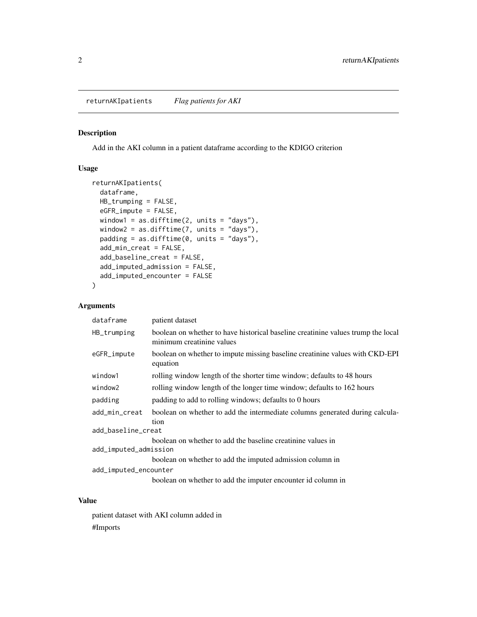#### <span id="page-1-0"></span>Description

Add in the AKI column in a patient dataframe according to the KDIGO criterion

#### Usage

```
returnAKIpatients(
 dataframe,
 HB_trumping = FALSE,
 eGFR_impute = FALSE,
 window1 = as.difftime(2, units = "days"),
 window2 = as.difftime(7, units = "days"),
 padding = as.difftime(0, units = "days"),
 add_min_creat = FALSE,
 add_baseline_creat = FALSE,
 add_imputed_admission = FALSE,
 add_imputed_encounter = FALSE
)
```
#### Arguments

| dataframe             | patient dataset                                                                                               |
|-----------------------|---------------------------------------------------------------------------------------------------------------|
| HB_trumping           | boolean on whether to have historical baseline creatinine values trump the local<br>minimum creatinine values |
| eGFR_impute           | boolean on whether to impute missing baseline creatinine values with CKD-EPI<br>equation                      |
| window1               | rolling window length of the shorter time window; defaults to 48 hours                                        |
| window2               | rolling window length of the longer time window; defaults to 162 hours                                        |
| padding               | padding to add to rolling windows; defaults to 0 hours                                                        |
| add_min_creat         | boolean on whether to add the intermediate columns generated during calcula-<br>tion                          |
| add_baseline_creat    |                                                                                                               |
|                       | boolean on whether to add the baseline creatinine values in                                                   |
| add_imputed_admission |                                                                                                               |
|                       | boolean on whether to add the imputed admission column in                                                     |
| add_imputed_encounter |                                                                                                               |
|                       | boolean on whether to add the imputer encounter id column in                                                  |

#### Value

patient dataset with AKI column added in #Imports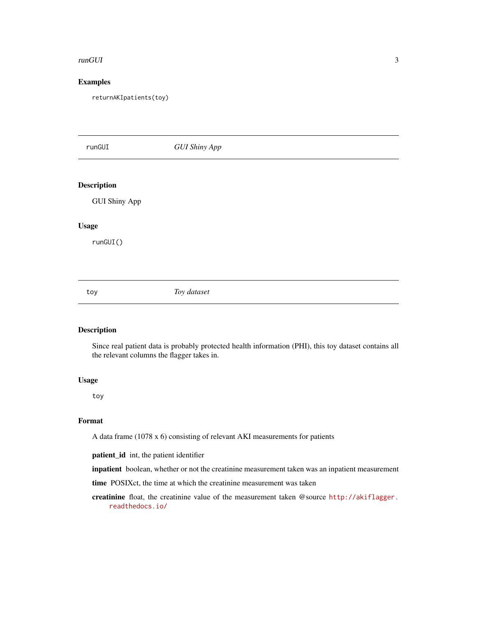#### <span id="page-2-0"></span>runGUI 3

#### Examples

returnAKIpatients(toy)

runGUI *GUI Shiny App* Description GUI Shiny App Usage runGUI() toy *Toy dataset*

#### Description

Since real patient data is probably protected health information (PHI), this toy dataset contains all the relevant columns the flagger takes in.

#### Usage

toy

#### Format

A data frame (1078 x 6) consisting of relevant AKI measurements for patients

patient\_id int, the patient identifier

inpatient boolean, whether or not the creatinine measurement taken was an inpatient measurement

time POSIXct, the time at which the creatinine measurement was taken

creatinine float, the creatinine value of the measurement taken @source [http://akiflagger.](http://akiflagger.readthedocs.io/) [readthedocs.io/](http://akiflagger.readthedocs.io/)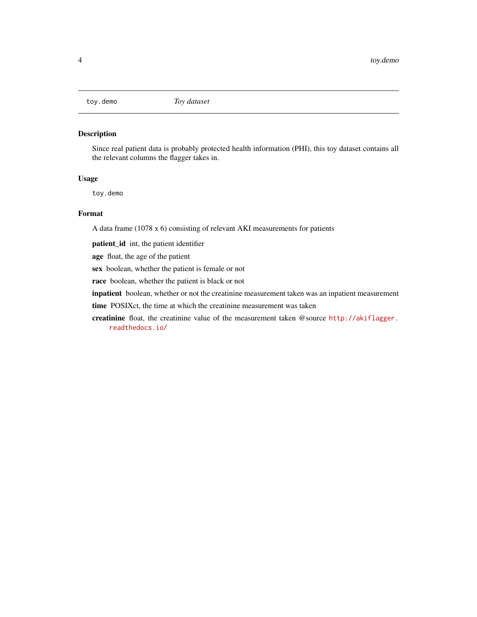<span id="page-3-0"></span>

#### Description

Since real patient data is probably protected health information (PHI), this toy dataset contains all the relevant columns the flagger takes in.

#### Usage

toy.demo

#### Format

A data frame (1078 x 6) consisting of relevant AKI measurements for patients

patient\_id int, the patient identifier

age float, the age of the patient

sex boolean, whether the patient is female or not

race boolean, whether the patient is black or not

inpatient boolean, whether or not the creatinine measurement taken was an inpatient measurement

time POSIXct, the time at which the creatinine measurement was taken

creatinine float, the creatinine value of the measurement taken @source [http://akiflagger.](http://akiflagger.readthedocs.io/) [readthedocs.io/](http://akiflagger.readthedocs.io/)